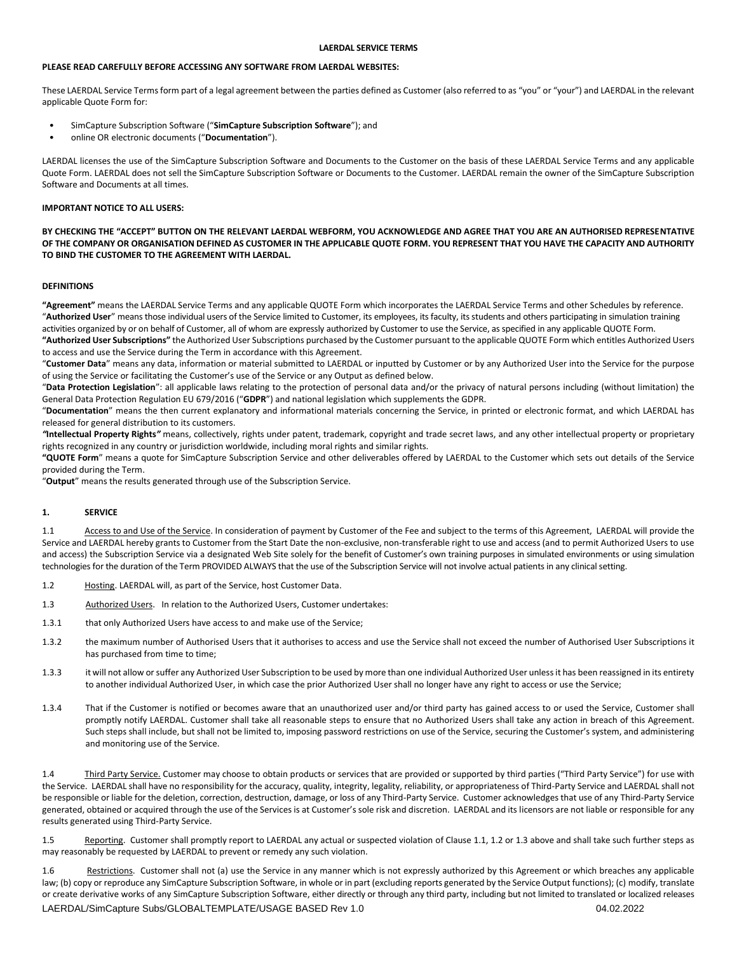#### **PLEASE READ CAREFULLY BEFORE ACCESSING ANY SOFTWARE FROM LAERDAL WEBSITES:**

These LAERDAL Service Terms form part of a legal agreement between the parties defined as Customer (also referred to as "you" or "your") and LAERDAL in the relevant applicable Quote Form for:

- SimCapture Subscription Software ("**SimCapture Subscription Software**"); and
- online OR electronic documents ("**Documentation**").

LAERDAL licenses the use of the SimCapture Subscription Software and Documents to the Customer on the basis of these LAERDAL Service Terms and any applicable Quote Form. LAERDAL does not sell the SimCapture Subscription Software or Documents to the Customer. LAERDAL remain the owner of the SimCapture Subscription Software and Documents at all times.

#### **IMPORTANT NOTICE TO ALL USERS:**

**BY CHECKING THE "ACCEPT" BUTTON ON THE RELEVANT LAERDAL WEBFORM, YOU ACKNOWLEDGE AND AGREE THAT YOU ARE AN AUTHORISED REPRESENTATIVE OF THE COMPANY OR ORGANISATION DEFINED AS CUSTOMER IN THE APPLICABLE QUOTE FORM. YOU REPRESENT THAT YOU HAVE THE CAPACITY AND AUTHORITY TO BIND THE CUSTOMER TO THE AGREEMENT WITH LAERDAL.**

#### **DEFINITIONS**

**"Agreement"** means the LAERDAL Service Terms and any applicable QUOTE Form which incorporates the LAERDAL Service Terms and other Schedules by reference. "Authorized User" means those individual users of the Service limited to Customer, its employees, its faculty, its students and others participating in simulation training activities organized by or on behalf of Customer, all of whom are expressly authorized by Customer to use the Service, as specified in any applicable QUOTE Form.

**"Authorized User Subscriptions"** the Authorized User Subscriptions purchased by the Customer pursuant to the applicable QUOTE Form which entitles Authorized Users to access and use the Service during the Term in accordance with this Agreement.

"**Customer Data**" means any data, information or material submitted to LAERDAL or inputted by Customer or by any Authorized User into the Service for the purpose of using the Service or facilitating the Customer's use of the Service or any Output as defined below.

"**Data Protection Legislation**": all applicable laws relating to the protection of personal data and/or the privacy of natural persons including (without limitation) the General Data Protection Regulation EU 679/2016 ("**GDPR**") and national legislation which supplements the GDPR.

"**Documentation**" means the then current explanatory and informational materials concerning the Service, in printed or electronic format, and which LAERDAL has released for general distribution to its customers.

*"***Intellectual Property Rights***"* means, collectively, rights under patent, trademark, copyright and trade secret laws, and any other intellectual property or proprietary rights recognized in any country or jurisdiction worldwide, including moral rights and similar rights.

**"QUOTE Form**" means a quote for SimCapture Subscription Service and other deliverables offered by LAERDAL to the Customer which sets out details of the Service provided during the Term.

"**Output**" means the results generated through use of the Subscription Service.

#### **1. SERVICE**

1.1 Access to and Use of the Service. In consideration of payment by Customer of the Fee and subject to the terms of this Agreement, LAERDAL will provide the Service and LAERDAL hereby grants to Customer from the Start Date the non-exclusive, non-transferable right to use and access (and to permit Authorized Users to use and access) the Subscription Service via a designated Web Site solely for the benefit of Customer's own training purposes in simulated environments or using simulation technologies for the duration of the Term PROVIDED ALWAYS that the use of the Subscription Service will not involve actual patients in any clinical setting.

- 1.2 Hosting. LAERDAL will, as part of the Service, host Customer Data.
- 1.3 Authorized Users. In relation to the Authorized Users, Customer undertakes:
- 1.3.1 that only Authorized Users have access to and make use of the Service;
- 1.3.2 the maximum number of Authorised Users that it authorises to access and use the Service shall not exceed the number of Authorised User Subscriptions it has purchased from time to time;
- 1.3.3 it will not allow or suffer any Authorized User Subscription to be used by more than one individual Authorized User unless it has been reassigned in its entirety to another individual Authorized User, in which case the prior Authorized User shall no longer have any right to access or use the Service;
- 1.3.4 That if the Customer is notified or becomes aware that an unauthorized user and/or third party has gained access to or used the Service, Customer shall promptly notify LAERDAL. Customer shall take all reasonable steps to ensure that no Authorized Users shall take any action in breach of this Agreement. Such steps shall include, but shall not be limited to, imposing password restrictions on use of the Service, securing the Customer's system, and administering and monitoring use of the Service.

1.4 Third Party Service. Customer may choose to obtain products or services that are provided or supported by third parties ("Third Party Service") for use with the Service. LAERDAL shall have no responsibility for the accuracy, quality, integrity, legality, reliability, or appropriateness of Third-Party Service and LAERDAL shall not be responsible or liable for the deletion, correction, destruction, damage, or loss of any Third-Party Service. Customer acknowledges that use of any Third-Party Service generated, obtained or acquired through the use of the Services is at Customer's sole risk and discretion. LAERDAL and its licensors are not liable or responsible for any results generated using Third-Party Service.

1.5 Reporting. Customer shall promptly report to LAERDAL any actual or suspected violation of Clause 1.1, 1.2 or 1.3 above and shall take such further steps as may reasonably be requested by LAERDAL to prevent or remedy any such violation.

LAERDAL/SimCapture Subs/GLOBALTEMPLATE/USAGE BASED Rev 1.0 04.02.2022 1.6 Restrictions. Customer shall not (a) use the Service in any manner which is not expressly authorized by this Agreement or which breaches any applicable law; (b) copy or reproduce any SimCapture Subscription Software, in whole or in part (excluding reports generated by the Service Output functions); (c) modify, translate or create derivative works of any SimCapture Subscription Software, either directly or through any third party, including but not limited to translated or localized releases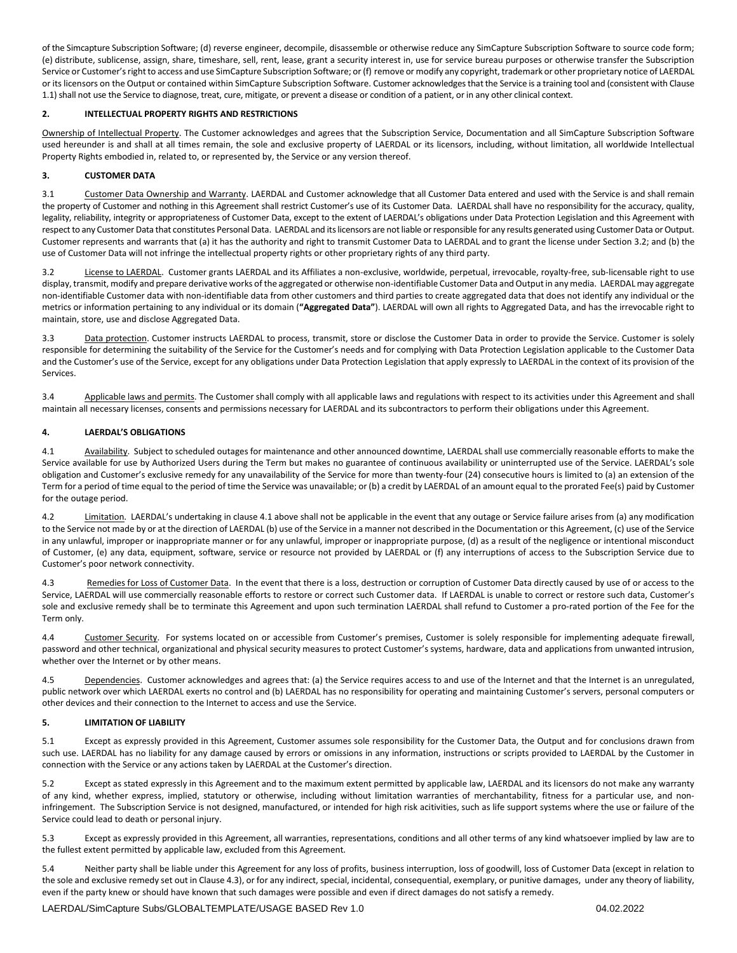of the Simcapture Subscription Software; (d) reverse engineer, decompile, disassemble or otherwise reduce any SimCapture Subscription Software to source code form; (e) distribute, sublicense, assign, share, timeshare, sell, rent, lease, grant a security interest in, use for service bureau purposes or otherwise transfer the Subscription Service or Customer's right to access and use SimCapture Subscription Software; or (f) remove or modify any copyright, trademark or other proprietary notice of LAERDAL or its licensors on the Output or contained within SimCapture Subscription Software. Customer acknowledges that the Service is a training tool and (consistent with Clause 1.1)shall not use the Service to diagnose, treat, cure, mitigate, or prevent a disease or condition of a patient, or in any other clinical context.

## **2. INTELLECTUAL PROPERTY RIGHTS AND RESTRICTIONS**

Ownership of Intellectual Property. The Customer acknowledges and agrees that the Subscription Service, Documentation and all SimCapture Subscription Software used hereunder is and shall at all times remain, the sole and exclusive property of LAERDAL or its licensors, including, without limitation, all worldwide Intellectual Property Rights embodied in, related to, or represented by, the Service or any version thereof.

# **3. CUSTOMER DATA**

3.1 Customer Data Ownership and Warranty. LAERDAL and Customer acknowledge that all Customer Data entered and used with the Service is and shall remain the property of Customer and nothing in this Agreement shall restrict Customer's use of its Customer Data. LAERDAL shall have no responsibility for the accuracy, quality, legality, reliability, integrity or appropriateness of Customer Data, except to the extent of LAERDAL's obligations under Data Protection Legislation and this Agreement with respect to any Customer Data that constitutes Personal Data. LAERDAL and its licensors are not liable or responsible for any results generated using Customer Data or Output. Customer represents and warrants that (a) it has the authority and right to transmit Customer Data to LAERDAL and to grant the license under Section 3.2; and (b) the use of Customer Data will not infringe the intellectual property rights or other proprietary rights of any third party.

3.2 License to LAERDAL. Customer grants LAERDAL and its Affiliates a non-exclusive, worldwide, perpetual, irrevocable, royalty-free, sub-licensable right to use display, transmit, modify and prepare derivative works of the aggregated or otherwise non-identifiable Customer Data and Output in any media. LAERDAL may aggregate non-identifiable Customer data with non-identifiable data from other customers and third parties to create aggregated data that does not identify any individual or the metrics or information pertaining to any individual or its domain (**"Aggregated Data"**). LAERDAL will own all rights to Aggregated Data, and has the irrevocable right to maintain, store, use and disclose Aggregated Data.

3.3 Data protection. Customer instructs LAERDAL to process, transmit, store or disclose the Customer Data in order to provide the Service. Customer is solely responsible for determining the suitability of the Service for the Customer's needs and for complying with Data Protection Legislation applicable to the Customer Data and the Customer's use of the Service, except for any obligations under Data Protection Legislation that apply expressly to LAERDAL in the context of its provision of the Services.

3.4 Applicable laws and permits. The Customer shall comply with all applicable laws and regulations with respect to its activities under this Agreement and shall maintain all necessary licenses, consents and permissions necessary for LAERDAL and its subcontractors to perform their obligations under this Agreement.

# **4. LAERDAL'S OBLIGATIONS**

4.1 Availability. Subject to scheduled outages for maintenance and other announced downtime, LAERDAL shall use commercially reasonable efforts to make the Service available for use by Authorized Users during the Term but makes no guarantee of continuous availability or uninterrupted use of the Service. LAERDAL's sole obligation and Customer's exclusive remedy for any unavailability of the Service for more than twenty-four (24) consecutive hours is limited to (a) an extension of the Term for a period of time equal to the period of time the Service was unavailable; or (b) a credit by LAERDAL of an amount equal to the prorated Fee(s) paid by Customer for the outage period.

4.2 Limitation. LAERDAL's undertaking in clause 4.1 above shall not be applicable in the event that any outage or Service failure arises from (a) any modification to the Service not made by or at the direction of LAERDAL (b) use of the Service in a manner not described in the Documentation or this Agreement, (c) use of the Service in any unlawful, improper or inappropriate manner or for any unlawful, improper or inappropriate purpose, (d) as a result of the negligence or intentional misconduct of Customer, (e) any data, equipment, software, service or resource not provided by LAERDAL or (f) any interruptions of access to the Subscription Service due to Customer's poor network connectivity.

4.3 Remedies for Loss of Customer Data. In the event that there is a loss, destruction or corruption of Customer Data directly caused by use of or access to the Service, LAERDAL will use commercially reasonable efforts to restore or correct such Customer data. If LAERDAL is unable to correct or restore such data, Customer's sole and exclusive remedy shall be to terminate this Agreement and upon such termination LAERDAL shall refund to Customer a pro-rated portion of the Fee for the Term only.

4.4 Customer Security. For systems located on or accessible from Customer's premises, Customer is solely responsible for implementing adequate firewall, password and other technical, organizational and physical security measures to protect Customer's systems, hardware, data and applications from unwanted intrusion, whether over the Internet or by other means.

4.5 Dependencies. Customer acknowledges and agrees that: (a) the Service requires access to and use of the Internet and that the Internet is an unregulated, public network over which LAERDAL exerts no control and (b) LAERDAL has no responsibility for operating and maintaining Customer's servers, personal computers or other devices and their connection to the Internet to access and use the Service.

## **5. LIMITATION OF LIABILITY**

5.1 Except as expressly provided in this Agreement, Customer assumes sole responsibility for the Customer Data, the Output and for conclusions drawn from such use. LAERDAL has no liability for any damage caused by errors or omissions in any information, instructions or scripts provided to LAERDAL by the Customer in connection with the Service or any actions taken by LAERDAL at the Customer's direction.

5.2 Except as stated expressly in this Agreement and to the maximum extent permitted by applicable law, LAERDAL and its licensors do not make any warranty of any kind, whether express, implied, statutory or otherwise, including without limitation warranties of merchantability, fitness for a particular use, and noninfringement. The Subscription Service is not designed, manufactured, or intended for high risk acitivities, such as life support systems where the use or failure of the Service could lead to death or personal injury.

5.3 Except as expressly provided in this Agreement, all warranties, representations, conditions and all other terms of any kind whatsoever implied by law are to the fullest extent permitted by applicable law, excluded from this Agreement.

5.4 Neither party shall be liable under this Agreement for any loss of profits, business interruption, loss of goodwill, loss of Customer Data (except in relation to the sole and exclusive remedy set out in Clause 4.3), or for any indirect, special, incidental, consequential, exemplary, or punitive damages, under any theory of liability, even if the party knew or should have known that such damages were possible and even if direct damages do not satisfy a remedy.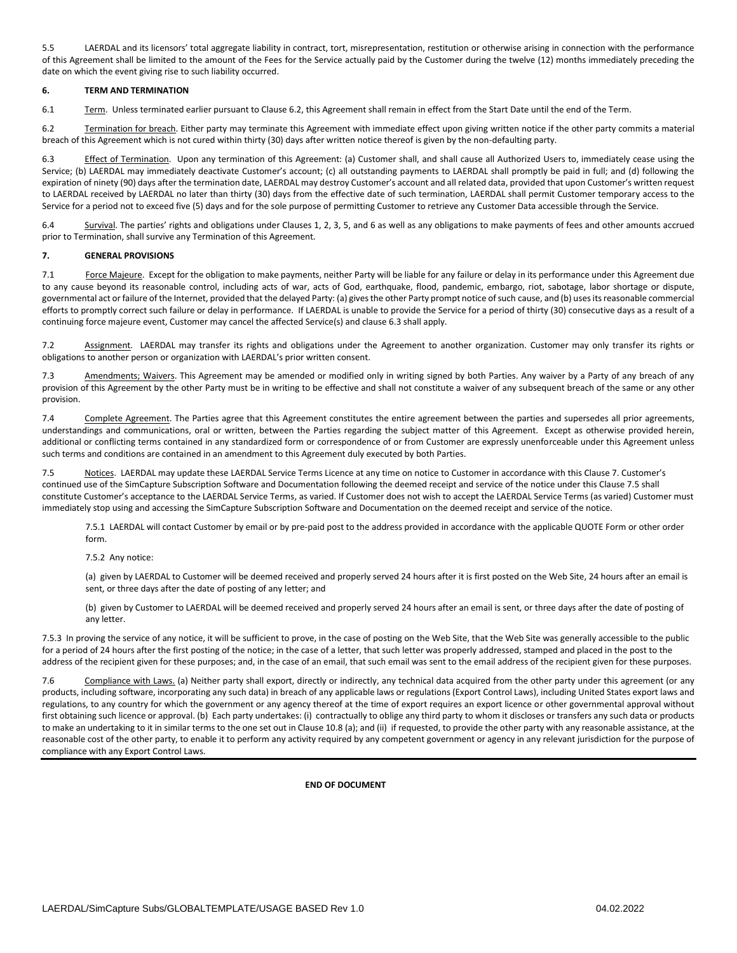5.5 LAERDAL and its licensors' total aggregate liability in contract, tort, misrepresentation, restitution or otherwise arising in connection with the performance of this Agreement shall be limited to the amount of the Fees for the Service actually paid by the Customer during the twelve (12) months immediately preceding the date on which the event giving rise to such liability occurred.

## **6. TERM AND TERMINATION**

6.1 Term. Unless terminated earlier pursuant to Clause 6.2, this Agreement shall remain in effect from the Start Date until the end of the Term.

6.2 Termination for breach. Either party may terminate this Agreement with immediate effect upon giving written notice if the other party commits a material breach of this Agreement which is not cured within thirty (30) days after written notice thereof is given by the non-defaulting party.

6.3 Effect of Termination. Upon any termination of this Agreement: (a) Customer shall, and shall cause all Authorized Users to, immediately cease using the Service; (b) LAERDAL may immediately deactivate Customer's account; (c) all outstanding payments to LAERDAL shall promptly be paid in full; and (d) following the expiration of ninety (90) days after the termination date, LAERDAL may destroy Customer's account and all related data, provided that upon Customer's written request to LAERDAL received by LAERDAL no later than thirty (30) days from the effective date of such termination, LAERDAL shall permit Customer temporary access to the Service for a period not to exceed five (5) days and for the sole purpose of permitting Customer to retrieve any Customer Data accessible through the Service.

6.4 Survival. The parties' rights and obligations under Clauses 1, 2, 3, 5, and 6 as well as any obligations to make payments of fees and other amounts accrued prior to Termination, shall survive any Termination of this Agreement.

## **7. GENERAL PROVISIONS**

7.1 Force Majeure. Except for the obligation to make payments, neither Party will be liable for any failure or delay in its performance under this Agreement due to any cause beyond its reasonable control, including acts of war, acts of God, earthquake, flood, pandemic, embargo, riot, sabotage, labor shortage or dispute, governmental act or failure of the Internet, provided that the delayed Party: (a) gives the other Party prompt notice of such cause, and (b) uses its reasonable commercial efforts to promptly correct such failure or delay in performance. If LAERDAL is unable to provide the Service for a period of thirty (30) consecutive days as a result of a continuing force majeure event, Customer may cancel the affected Service(s) and clause 6.3 shall apply.

7.2 Assignment. LAERDAL may transfer its rights and obligations under the Agreement to another organization. Customer may only transfer its rights or obligations to another person or organization with LAERDAL's prior written consent.

7.3 Amendments; Waivers. This Agreement may be amended or modified only in writing signed by both Parties. Any waiver by a Party of any breach of any provision of this Agreement by the other Party must be in writing to be effective and shall not constitute a waiver of any subsequent breach of the same or any other provision.

7.4 Complete Agreement. The Parties agree that this Agreement constitutes the entire agreement between the parties and supersedes all prior agreements, understandings and communications, oral or written, between the Parties regarding the subject matter of this Agreement. Except as otherwise provided herein, additional or conflicting terms contained in any standardized form or correspondence of or from Customer are expressly unenforceable under this Agreement unless such terms and conditions are contained in an amendment to this Agreement duly executed by both Parties.

7.5 Notices. LAERDAL may update these LAERDAL Service Terms Licence at any time on notice to Customer in accordance with this Clause 7. Customer's continued use of the SimCapture Subscription Software and Documentation following the deemed receipt and service of the notice under this Clause 7.5 shall constitute Customer's acceptance to the LAERDAL Service Terms, as varied. If Customer does not wish to accept the LAERDAL Service Terms (as varied) Customer must immediately stop using and accessing the SimCapture Subscription Software and Documentation on the deemed receipt and service of the notice.

7.5.1 LAERDAL will contact Customer by email or by pre-paid post to the address provided in accordance with the applicable QUOTE Form or other order form.

#### 7.5.2 Any notice:

(a) given by LAERDAL to Customer will be deemed received and properly served 24 hours after it is first posted on the Web Site, 24 hours after an email is sent, or three days after the date of posting of any letter; and

(b) given by Customer to LAERDAL will be deemed received and properly served 24 hours after an email is sent, or three days after the date of posting of any letter.

7.5.3 In proving the service of any notice, it will be sufficient to prove, in the case of posting on the Web Site, that the Web Site was generally accessible to the public for a period of 24 hours after the first posting of the notice; in the case of a letter, that such letter was properly addressed, stamped and placed in the post to the address of the recipient given for these purposes; and, in the case of an email, that such email was sent to the email address of the recipient given for these purposes.

7.6 Compliance with Laws. (a) Neither party shall export, directly or indirectly, any technical data acquired from the other party under this agreement (or any products, including software, incorporating any such data) in breach of any applicable laws or regulations (Export Control Laws), including United States export laws and regulations, to any country for which the government or any agency thereof at the time of export requires an export licence or other governmental approval without first obtaining such licence or approval. (b) Each party undertakes: (i) contractually to oblige any third party to whom it discloses or transfers any such data or products to make an undertaking to it in similar terms to the one set out in Clause 10.8 (a); and (ii) if requested, to provide the other party with any reasonable assistance, at the reasonable cost of the other party, to enable it to perform any activity required by any competent government or agency in any relevant jurisdiction for the purpose of compliance with any Export Control Laws.

### **END OF DOCUMENT**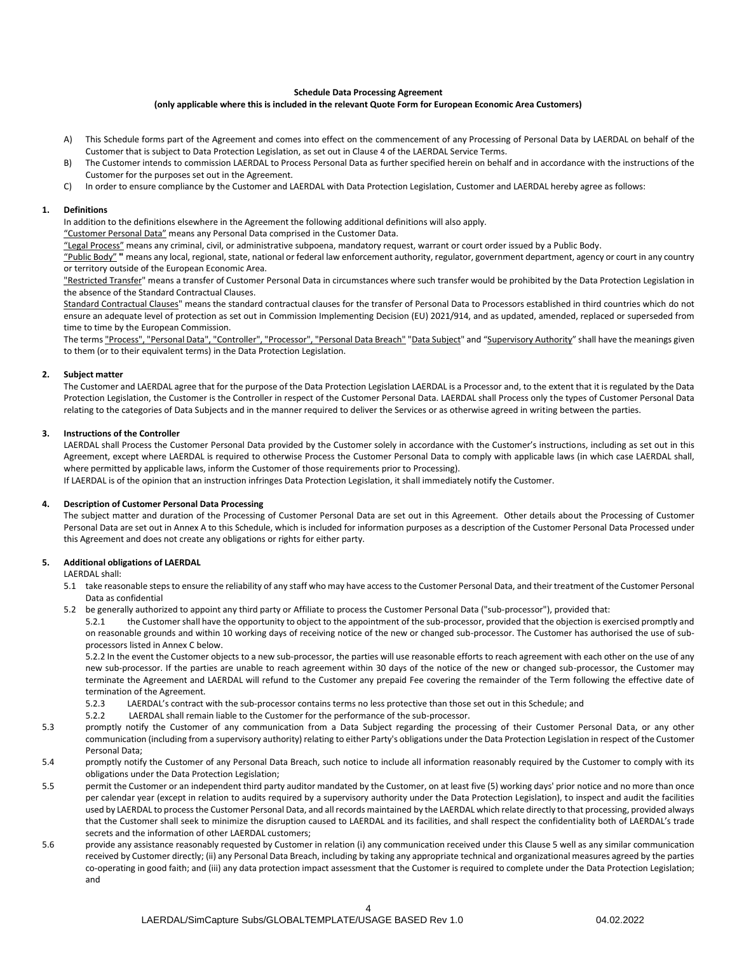## **Schedule Data Processing Agreement**

### **(only applicable where this is included in the relevant Quote Form for European Economic Area Customers)**

- A) This Schedule forms part of the Agreement and comes into effect on the commencement of any Processing of Personal Data by LAERDAL on behalf of the Customer that is subject to Data Protection Legislation, as set out in Clause 4 of the LAERDAL Service Terms.
- B) The Customer intends to commission LAERDAL to Process Personal Data as further specified herein on behalf and in accordance with the instructions of the Customer for the purposes set out in the Agreement.
- C) In order to ensure compliance by the Customer and LAERDAL with Data Protection Legislation, Customer and LAERDAL hereby agree as follows:

#### **1. Definitions**

In addition to the definitions elsewhere in the Agreement the following additional definitions will also apply.

"Customer Personal Data" means any Personal Data comprised in the Customer Data.

"Legal Process" means any criminal, civil, or administrative subpoena, mandatory request, warrant or court order issued by a Public Body.

"Public Body" **"** means any local, regional, state, national or federal law enforcement authority, regulator, government department, agency or court in any country or territory outside of the European Economic Area.

"Restricted Transfer" means a transfer of Customer Personal Data in circumstances where such transfer would be prohibited by the Data Protection Legislation in the absence of the Standard Contractual Clauses.

Standard Contractual Clauses" means the standard contractual clauses for the transfer of Personal Data to Processors established in third countries which do not ensure an adequate level of protection as set out in Commission Implementing Decision (EU) 2021/914, and as updated, amended, replaced or superseded from time to time by the European Commission.

The terms "Process", "Personal Data", "Controller", "Processor", "Personal Data Breach" "Data Subject" and "Supervisory Authority" shall have the meanings given to them (or to their equivalent terms) in the Data Protection Legislation.

### **2. Subject matter**

The Customer and LAERDAL agree that for the purpose of the Data Protection Legislation LAERDAL is a Processor and, to the extent that it is regulated by the Data Protection Legislation, the Customer is the Controller in respect of the Customer Personal Data. LAERDAL shall Process only the types of Customer Personal Data relating to the categories of Data Subjects and in the manner required to deliver the Services or as otherwise agreed in writing between the parties.

#### **3. Instructions of the Controller**

LAERDAL shall Process the Customer Personal Data provided by the Customer solely in accordance with the Customer's instructions, including as set out in this Agreement, except where LAERDAL is required to otherwise Process the Customer Personal Data to comply with applicable laws (in which case LAERDAL shall, where permitted by applicable laws, inform the Customer of those requirements prior to Processing). If LAERDAL is of the opinion that an instruction infringes Data Protection Legislation, it shall immediately notify the Customer.

### **4. Description of Customer Personal Data Processing**

The subject matter and duration of the Processing of Customer Personal Data are set out in this Agreement. Other details about the Processing of Customer Personal Data are set out in Annex A to this Schedule, which is included for information purposes as a description of the Customer Personal Data Processed under this Agreement and does not create any obligations or rights for either party.

### **5. Additional obligations of LAERDAL**

LAERDAL shall:

- 5.1 take reasonable steps to ensure the reliability of any staff who may have access to the Customer Personal Data, and their treatment of the Customer Personal Data as confidential
- 5.2 be generally authorized to appoint any third party or Affiliate to process the Customer Personal Data ("sub-processor"), provided that:

5.2.1 the Customer shall have the opportunity to object to the appointment of the sub-processor, provided that the objection is exercised promptly and on reasonable grounds and within 10 working days of receiving notice of the new or changed sub-processor. The Customer has authorised the use of subprocessors listed in Annex C below.

5.2.2 In the event the Customer objects to a new sub-processor, the parties will use reasonable efforts to reach agreement with each other on the use of any new sub-processor. If the parties are unable to reach agreement within 30 days of the notice of the new or changed sub-processor, the Customer may terminate the Agreement and LAERDAL will refund to the Customer any prepaid Fee covering the remainder of the Term following the effective date of termination of the Agreement.

- 5.2.3 LAERDAL's contract with the sub-processor contains terms no less protective than those set out in this Schedule; and
- 5.2.2 LAERDAL shall remain liable to the Customer for the performance of the sub-processor.
- 5.3 promptly notify the Customer of any communication from a Data Subject regarding the processing of their Customer Personal Data, or any other communication (including from a supervisory authority) relating to either Party's obligations under the Data Protection Legislation in respect of the Customer Personal Data;
- 5.4 promptly notify the Customer of any Personal Data Breach, such notice to include all information reasonably required by the Customer to comply with its obligations under the Data Protection Legislation;
- 5.5 permit the Customer or an independent third party auditor mandated by the Customer, on at least five (5) working days' prior notice and no more than once per calendar year (except in relation to audits required by a supervisory authority under the Data Protection Legislation), to inspect and audit the facilities used by LAERDAL to process the Customer Personal Data, and all records maintained by the LAERDAL which relate directly to that processing, provided always that the Customer shall seek to minimize the disruption caused to LAERDAL and its facilities, and shall respect the confidentiality both of LAERDAL's trade secrets and the information of other LAERDAL customers;
- 5.6 provide any assistance reasonably requested by Customer in relation (i) any communication received under this Clause 5 well as any similar communication received by Customer directly; (ii) any Personal Data Breach, including by taking any appropriate technical and organizational measures agreed by the parties co-operating in good faith; and (iii) any data protection impact assessment that the Customer is required to complete under the Data Protection Legislation; and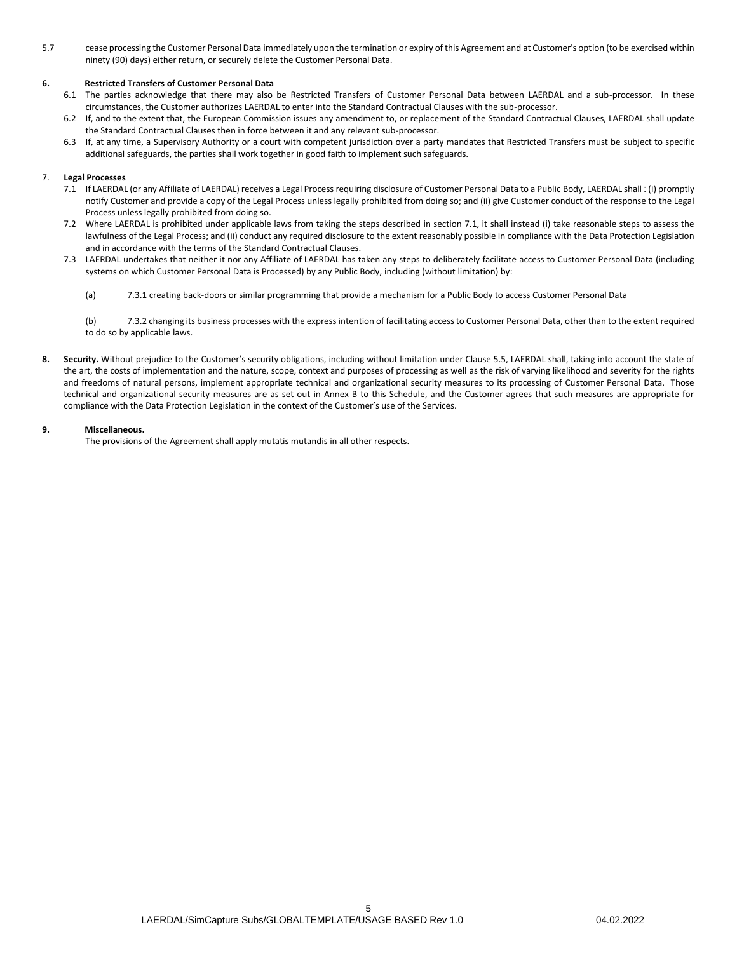5.7 cease processing the Customer Personal Data immediately upon the termination or expiry of this Agreement and at Customer's option (to be exercised within ninety (90) days) either return, or securely delete the Customer Personal Data.

## **6. Restricted Transfers of Customer Personal Data**

- 6.1 The parties acknowledge that there may also be Restricted Transfers of Customer Personal Data between LAERDAL and a sub-processor. In these circumstances, the Customer authorizes LAERDAL to enter into the Standard Contractual Clauses with the sub-processor.
- 6.2 If, and to the extent that, the European Commission issues any amendment to, or replacement of the Standard Contractual Clauses, LAERDAL shall update the Standard Contractual Clauses then in force between it and any relevant sub-processor.
- 6.3 If, at any time, a Supervisory Authority or a court with competent jurisdiction over a party mandates that Restricted Transfers must be subject to specific additional safeguards, the parties shall work together in good faith to implement such safeguards.

### <span id="page-4-0"></span>7. **Legal Processes**

- 7.1 If LAERDAL (or any Affiliate of LAERDAL) receives a Legal Process requiring disclosure of Customer Personal Data to a Public Body, LAERDAL shall : (i) promptly notify Customer and provide a copy of the Legal Process unless legally prohibited from doing so; and (ii) give Customer conduct of the response to the Legal Process unless legally prohibited from doing so.
- 7.2 Where LAERDAL is prohibited under applicable laws from taking the steps described in section [7.1,](#page-4-0) it shall instead (i) take reasonable steps to assess the lawfulness of the Legal Process; and (ii) conduct any required disclosure to the extent reasonably possible in compliance with the Data Protection Legislation and in accordance with the terms of the Standard Contractual Clauses.
- 7.3 LAERDAL undertakes that neither it nor any Affiliate of LAERDAL has taken any steps to deliberately facilitate access to Customer Personal Data (including systems on which Customer Personal Data is Processed) by any Public Body, including (without limitation) by:
	- (a) 7.3.1 creating back-doors or similar programming that provide a mechanism for a Public Body to access Customer Personal Data

(b) 7.3.2 changing its business processes with the express intention of facilitating access to Customer Personal Data, other than to the extent required to do so by applicable laws.

**8. Security.** Without prejudice to the Customer's security obligations, including without limitation under Clause 5.5, LAERDAL shall, taking into account the state of the art, the costs of implementation and the nature, scope, context and purposes of processing as well as the risk of varying likelihood and severity for the rights and freedoms of natural persons, implement appropriate technical and organizational security measures to its processing of Customer Personal Data. Those technical and organizational security measures are as set out in Annex B to this Schedule, and the Customer agrees that such measures are appropriate for compliance with the Data Protection Legislation in the context of the Customer's use of the Services.

### **9. Miscellaneous.**

The provisions of the Agreement shall apply mutatis mutandis in all other respects.